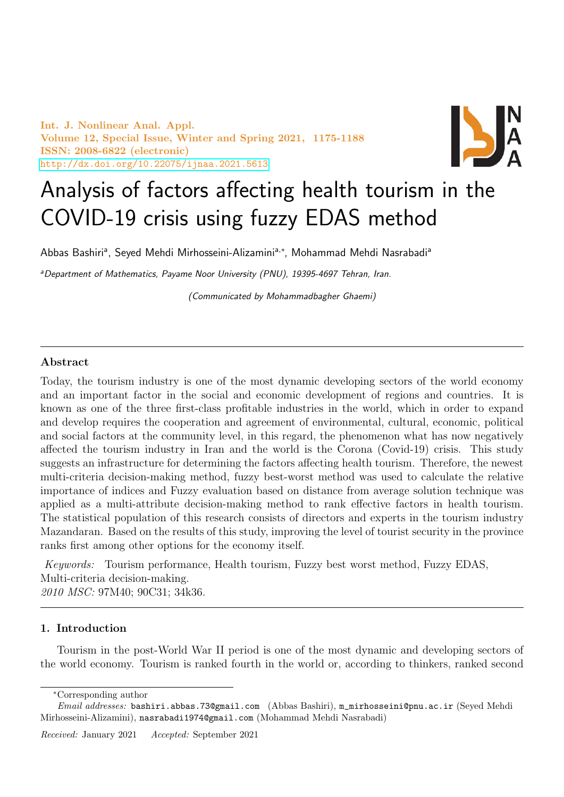Int. J. Nonlinear Anal. Appl. Volume 12, Special Issue, Winter and Spring 2021, 1175-1188 ISSN: 2008-6822 (electronic) <http://dx.doi.org/10.22075/ijnaa.2021.5613>



# Analysis of factors affecting health tourism in the COVID-19 crisis using fuzzy EDAS method

Abbas Bashiri<sup>a</sup>, Seyed Mehdi Mirhosseini-Alizamini<sup>a,∗</sup>, Mohammad Mehdi Nasrabadi<sup>a</sup>

aDepartment of Mathematics, Payame Noor University (PNU), 19395-4697 Tehran, Iran.

(Communicated by Mohammadbagher Ghaemi)

## Abstract

Today, the tourism industry is one of the most dynamic developing sectors of the world economy and an important factor in the social and economic development of regions and countries. It is known as one of the three first-class profitable industries in the world, which in order to expand and develop requires the cooperation and agreement of environmental, cultural, economic, political and social factors at the community level, in this regard, the phenomenon what has now negatively affected the tourism industry in Iran and the world is the Corona (Covid-19) crisis. This study suggests an infrastructure for determining the factors affecting health tourism. Therefore, the newest multi-criteria decision-making method, fuzzy best-worst method was used to calculate the relative importance of indices and Fuzzy evaluation based on distance from average solution technique was applied as a multi-attribute decision-making method to rank effective factors in health tourism. The statistical population of this research consists of directors and experts in the tourism industry Mazandaran. Based on the results of this study, improving the level of tourist security in the province ranks first among other options for the economy itself.

Keywords: Tourism performance, Health tourism, Fuzzy best worst method, Fuzzy EDAS, Multi-criteria decision-making. 2010 MSC: 97M40; 90C31; 34k36.

## 1. Introduction

Tourism in the post-World War II period is one of the most dynamic and developing sectors of the world economy. Tourism is ranked fourth in the world or, according to thinkers, ranked second

<sup>∗</sup>Corresponding author

Email addresses: bashiri.abbas.73@gmail.com (Abbas Bashiri), m\_mirhosseini@pnu.ac.ir (Seyed Mehdi Mirhosseini-Alizamini), nasrabadi1974@gmail.com (Mohammad Mehdi Nasrabadi)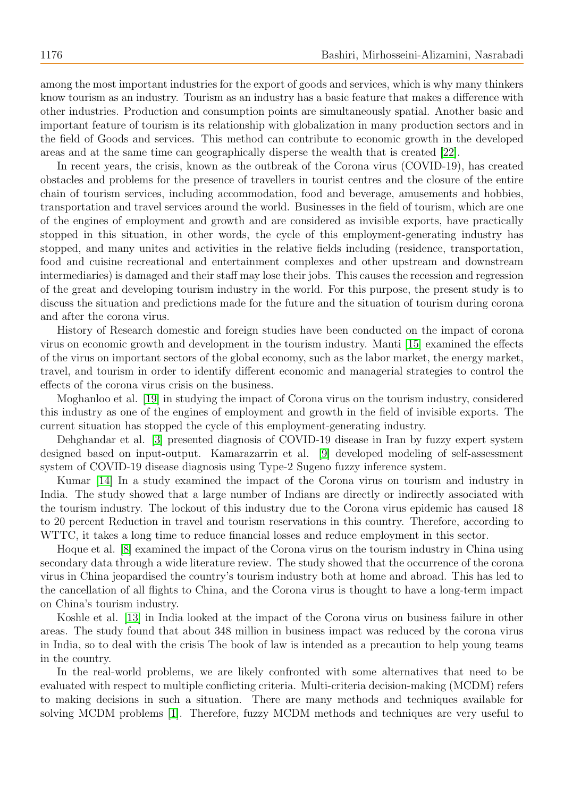among the most important industries for the export of goods and services, which is why many thinkers know tourism as an industry. Tourism as an industry has a basic feature that makes a difference with other industries. Production and consumption points are simultaneously spatial. Another basic and important feature of tourism is its relationship with globalization in many production sectors and in the field of Goods and services. This method can contribute to economic growth in the developed areas and at the same time can geographically disperse the wealth that is created [\[22\]](#page-13-0).

In recent years, the crisis, known as the outbreak of the Corona virus (COVID-19), has created obstacles and problems for the presence of travellers in tourist centres and the closure of the entire chain of tourism services, including accommodation, food and beverage, amusements and hobbies, transportation and travel services around the world. Businesses in the field of tourism, which are one of the engines of employment and growth and are considered as invisible exports, have practically stopped in this situation, in other words, the cycle of this employment-generating industry has stopped, and many unites and activities in the relative fields including (residence, transportation, food and cuisine recreational and entertainment complexes and other upstream and downstream intermediaries) is damaged and their staff may lose their jobs. This causes the recession and regression of the great and developing tourism industry in the world. For this purpose, the present study is to discuss the situation and predictions made for the future and the situation of tourism during corona and after the corona virus.

History of Research domestic and foreign studies have been conducted on the impact of corona virus on economic growth and development in the tourism industry. Manti [\[15\]](#page-13-1) examined the effects of the virus on important sectors of the global economy, such as the labor market, the energy market, travel, and tourism in order to identify different economic and managerial strategies to control the effects of the corona virus crisis on the business.

Moghanloo et al. [\[19\]](#page-13-2) in studying the impact of Corona virus on the tourism industry, considered this industry as one of the engines of employment and growth in the field of invisible exports. The current situation has stopped the cycle of this employment-generating industry.

Dehghandar et al. [\[3\]](#page-13-3) presented diagnosis of COVID-19 disease in Iran by fuzzy expert system designed based on input-output. Kamarazarrin et al. [\[9\]](#page-13-4) developed modeling of self-assessment system of COVID-19 disease diagnosis using Type-2 Sugeno fuzzy inference system.

Kumar [\[14\]](#page-13-5) In a study examined the impact of the Corona virus on tourism and industry in India. The study showed that a large number of Indians are directly or indirectly associated with the tourism industry. The lockout of this industry due to the Corona virus epidemic has caused 18 to 20 percent Reduction in travel and tourism reservations in this country. Therefore, according to WTTC, it takes a long time to reduce financial losses and reduce employment in this sector.

Hoque et al. [\[8\]](#page-13-6) examined the impact of the Corona virus on the tourism industry in China using secondary data through a wide literature review. The study showed that the occurrence of the corona virus in China jeopardised the country's tourism industry both at home and abroad. This has led to the cancellation of all flights to China, and the Corona virus is thought to have a long-term impact on China's tourism industry.

Koshle et al. [\[13\]](#page-13-7) in India looked at the impact of the Corona virus on business failure in other areas. The study found that about 348 million in business impact was reduced by the corona virus in India, so to deal with the crisis The book of law is intended as a precaution to help young teams in the country.

In the real-world problems, we are likely confronted with some alternatives that need to be evaluated with respect to multiple conflicting criteria. Multi-criteria decision-making (MCDM) refers to making decisions in such a situation. There are many methods and techniques available for solving MCDM problems [\[1\]](#page-12-0). Therefore, fuzzy MCDM methods and techniques are very useful to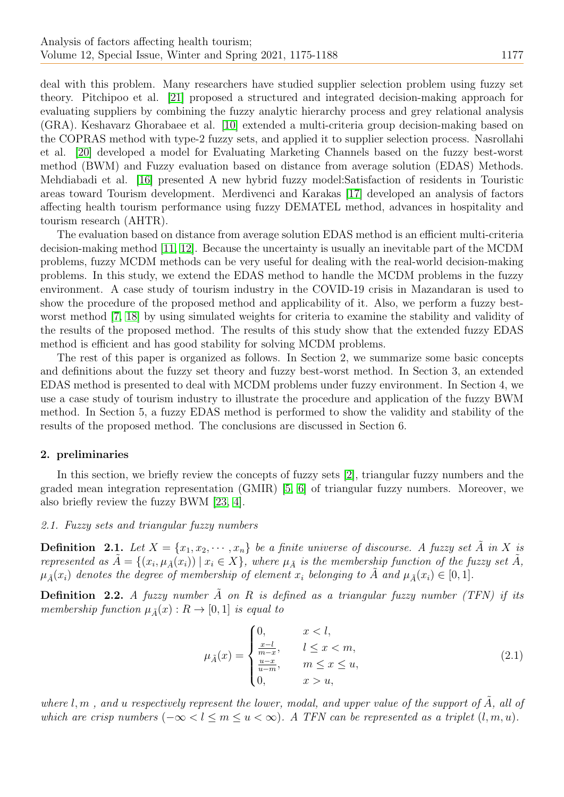deal with this problem. Many researchers have studied supplier selection problem using fuzzy set theory. Pitchipoo et al. [\[21\]](#page-13-8) proposed a structured and integrated decision-making approach for evaluating suppliers by combining the fuzzy analytic hierarchy process and grey relational analysis (GRA). Keshavarz Ghorabaee et al. [\[10\]](#page-13-9) extended a multi-criteria group decision-making based on the COPRAS method with type-2 fuzzy sets, and applied it to supplier selection process. Nasrollahi et al. [\[20\]](#page-13-10) developed a model for Evaluating Marketing Channels based on the fuzzy best-worst method (BWM) and Fuzzy evaluation based on distance from average solution (EDAS) Methods. Mehdiabadi et al. [\[16\]](#page-13-11) presented A new hybrid fuzzy model:Satisfaction of residents in Touristic areas toward Tourism development. Merdivenci and Karakas [\[17\]](#page-13-12) developed an analysis of factors affecting health tourism performance using fuzzy DEMATEL method, advances in hospitality and tourism research (AHTR).

The evaluation based on distance from average solution EDAS method is an efficient multi-criteria decision-making method [\[11,](#page-13-13) [12\]](#page-13-14). Because the uncertainty is usually an inevitable part of the MCDM problems, fuzzy MCDM methods can be very useful for dealing with the real-world decision-making problems. In this study, we extend the EDAS method to handle the MCDM problems in the fuzzy environment. A case study of tourism industry in the COVID-19 crisis in Mazandaran is used to show the procedure of the proposed method and applicability of it. Also, we perform a fuzzy bestworst method [\[7,](#page-13-15) [18\]](#page-13-16) by using simulated weights for criteria to examine the stability and validity of the results of the proposed method. The results of this study show that the extended fuzzy EDAS method is efficient and has good stability for solving MCDM problems.

The rest of this paper is organized as follows. In Section 2, we summarize some basic concepts and definitions about the fuzzy set theory and fuzzy best-worst method. In Section 3, an extended EDAS method is presented to deal with MCDM problems under fuzzy environment. In Section 4, we use a case study of tourism industry to illustrate the procedure and application of the fuzzy BWM method. In Section 5, a fuzzy EDAS method is performed to show the validity and stability of the results of the proposed method. The conclusions are discussed in Section 6.

# 2. preliminaries

In this section, we briefly review the concepts of fuzzy sets [\[2\]](#page-12-1), triangular fuzzy numbers and the graded mean integration representation (GMIR) [\[5,](#page-13-17) [6\]](#page-13-18) of triangular fuzzy numbers. Moreover, we also briefly review the fuzzy BWM [\[23,](#page-13-19) [4\]](#page-13-20).

#### 2.1. Fuzzy sets and triangular fuzzy numbers

**Definition** 2.1. Let  $X = \{x_1, x_2, \dots, x_n\}$  be a finite universe of discourse. A fuzzy set A in X is represented as  $\tilde{A} = \{(x_i, \mu_{\tilde{A}}(x_i)) \mid x_i \in X\}$ , where  $\mu_{\tilde{A}}$  is the membership function of the fuzzy set  $\tilde{A}$ ,  $\mu_{\tilde{A}}(x_i)$  denotes the degree of membership of element  $x_i$  belonging to  $\tilde{A}$  and  $\mu_{\tilde{A}}(x_i) \in [0,1]$ .

**Definition 2.2.** A fuzzy number  $\tilde{A}$  on R is defined as a triangular fuzzy number (TFN) if its membership function  $\mu_{\tilde{A}}(x) : R \to [0,1]$  is equal to

$$
\mu_{\tilde{A}}(x) = \begin{cases}\n0, & x < l, \\
\frac{x-l}{m-x}, & l \le x < m, \\
\frac{u-x}{u-m}, & m \le x \le u, \\
0, & x > u,\n\end{cases}
$$
\n(2.1)

where l, m, and u respectively represent the lower, modal, and upper value of the support of  $\hat{A}$ , all of which are crisp numbers  $(-\infty < l \le m \le u < \infty)$ . A TFN can be represented as a triplet  $(l, m, u)$ .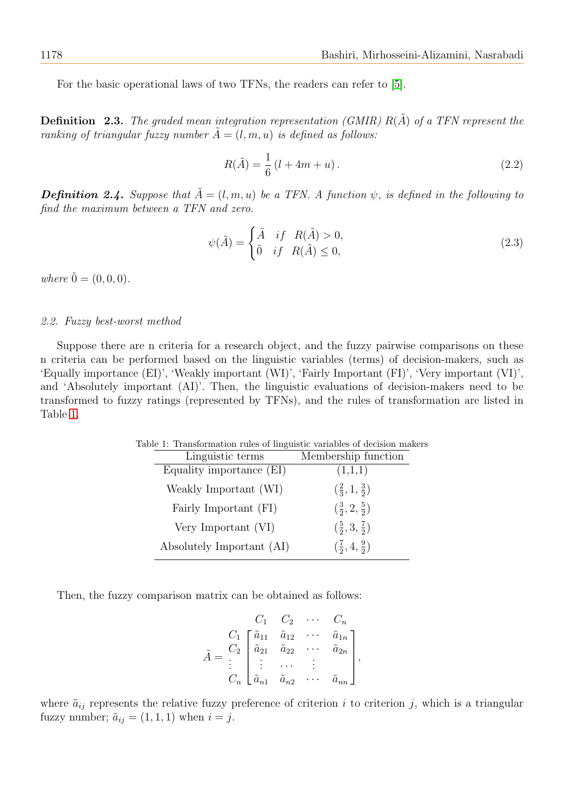For the basic operational laws of two TFNs, the readers can refer to [\[5\]](#page-13-17).

**Definition 2.3.** The graded mean integration representation (GMIR)  $R(\tilde{A})$  of a TFN represent the ranking of triangular fuzzy number  $\tilde{A} = (l, m, u)$  is defined as follows:

<span id="page-3-1"></span>
$$
R(\tilde{A}) = \frac{1}{6} (l + 4m + u).
$$
 (2.2)

**Definition 2.4.** Suppose that  $\tilde{A} = (l, m, u)$  be a TFN. A function  $\psi$ , is defined in the following to find the maximum between a TFN and zero.

$$
\psi(\tilde{A}) = \begin{cases} \tilde{A} & \text{if } R(\tilde{A}) > 0, \\ 0 & \text{if } R(\tilde{A}) \le 0, \end{cases}
$$
\n(2.3)

where  $\tilde{0} = (0, 0, 0)$ .

#### 2.2. Fuzzy best-worst method

<span id="page-3-0"></span>Suppose there are n criteria for a research object, and the fuzzy pairwise comparisons on these n criteria can be performed based on the linguistic variables (terms) of decision-makers, such as 'Equally importance (EI)', 'Weakly important (WI)', 'Fairly Important (FI)', 'Very important (VI)', and 'Absolutely important (AI)'. Then, the linguistic evaluations of decision-makers need to be transformed to fuzzy ratings (represented by TFNs), and the rules of transformation are listed in Table [1.](#page-3-0)

Table 1: Transformation rules of linguistic variables of decision makers

| Linguistic terms          | Membership function                        |
|---------------------------|--------------------------------------------|
| Equality importance (EI)  | (1,1,1)                                    |
| Weakly Important (WI)     | $\left(\frac{2}{3}, 1, \frac{3}{2}\right)$ |
| Fairly Important (FI)     | $(\frac{3}{2}, 2, \frac{5}{2})$            |
| Very Important (VI)       | $(\frac{5}{2},3,\frac{7}{2})$              |
| Absolutely Important (AI) | $(\frac{7}{2}, 4, \frac{9}{2})$            |

Then, the fuzzy comparison matrix can be obtained as follows:

$$
\tilde{A} = \begin{bmatrix}\nC_1 & C_2 & \cdots & C_n \\
C_1 & \tilde{a}_{11} & \tilde{a}_{12} & \cdots & \tilde{a}_{1n} \\
\tilde{a}_{21} & \tilde{a}_{22} & \cdots & \tilde{a}_{2n} \\
\vdots & \vdots & \cdots & \vdots \\
C_n & \tilde{a}_{n1} & \tilde{a}_{n2} & \cdots & \tilde{a}_{nn}\n\end{bmatrix},
$$

where  $\tilde{a}_{ij}$  represents the relative fuzzy preference of criterion i to criterion j, which is a triangular fuzzy number;  $\tilde{a}_{ij} = (1, 1, 1)$  when  $i = j$ .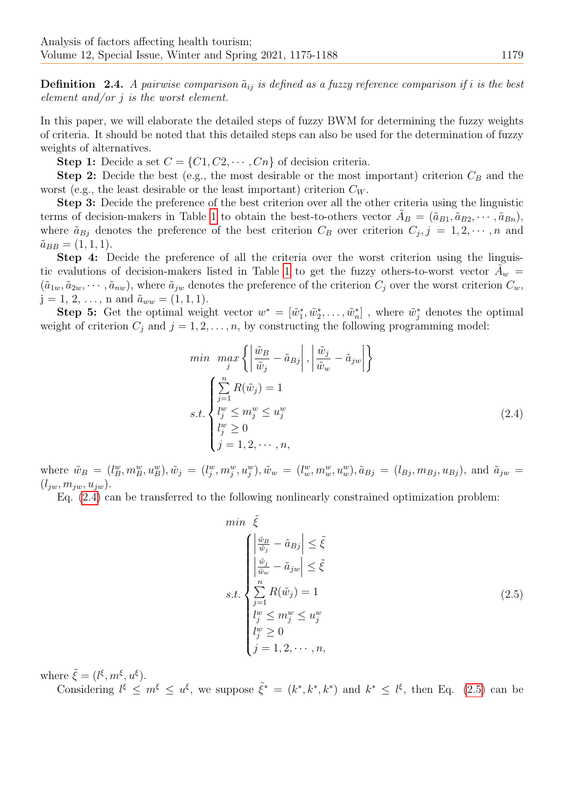**Definition** 2.4. A pairwise comparison  $\tilde{a}_{ij}$  is defined as a fuzzy reference comparison if i is the best element and/or  $j$  is the worst element.

In this paper, we will elaborate the detailed steps of fuzzy BWM for determining the fuzzy weights of criteria. It should be noted that this detailed steps can also be used for the determination of fuzzy weights of alternatives.

**Step 1:** Decide a set  $C = \{C_1, C_2, \dots, C_n\}$  of decision criteria.

**Step 2:** Decide the best (e.g., the most desirable or the most important) criterion  $C_B$  and the worst (e.g., the least desirable or the least important) criterion  $C_W$ .

Step 3: Decide the preference of the best criterion over all the other criteria using the linguistic terms of decision-makers in Table [1](#page-3-0) to obtain the best-to-others vector  $\tilde{A}_B = (\tilde{a}_{B1}, \tilde{a}_{B2}, \cdots, \tilde{a}_{Bn}),$ where  $\tilde{a}_{Bj}$  denotes the preference of the best criterion  $C_B$  over criterion  $C_j$ ,  $j = 1, 2, \cdots, n$  and  $\tilde{a}_{BB} = (1, 1, 1).$ 

Step 4: Decide the preference of all the criteria over the worst criterion using the linguis-tic evalutions of decision-makers listed in Table [1](#page-3-0) to get the fuzzy others-to-worst vector  $\tilde{A}_w$  =  $(\tilde{a}_{1w}, \tilde{a}_{2w}, \cdots, \tilde{a}_{nw}),$  where  $\tilde{a}_{iw}$  denotes the preference of the criterion  $C_i$  over the worst criterion  $C_w$ ,  $j = 1, 2, \ldots, n$  and  $\tilde{a}_{ww} = (1, 1, 1).$ 

Step 5: Get the optimal weight vector  $w^* = [\tilde{w}_1^*, \tilde{w}_2^*, \dots, \tilde{w}_n^*]$ , where  $\tilde{w}_j^*$  denotes the optimal weight of criterion  $C_i$  and  $j = 1, 2, \ldots, n$ , by constructing the following programming model:

$$
\min_{j} \max_{j} \left\{ \left| \frac{\tilde{w}_{B}}{\tilde{w}_{j}} - \tilde{a}_{Bj} \right|, \left| \frac{\tilde{w}_{j}}{\tilde{w}_{w}} - \tilde{a}_{jw} \right| \right\}
$$
\n
$$
s.t. \left\{ \sum_{\substack{j=1 \\ l_{j}^{w} \leq m_{j}^{w} \leq u_{j}^{w} \\ l_{j}^{w} \geq 0}} \sum_{j=1,2,\dots,n,} \infty (2.4)
$$

where  $\tilde{w}_B = (l_B^w, m_B^w, u_B^w), \tilde{w}_j = (l_j^w, m_j^w, u_j^w), \tilde{w}_w = (l_w^w, m_w^w, u_w^w), \tilde{a}_{Bj} = (l_{Bj}, m_{Bj}, u_{Bj}),$  and  $\tilde{a}_{jw} =$  $(l_{iw}, m_{iw}, u_{iw}).$ 

Eq. [\(2.4\)](#page-4-0) can be transferred to the following nonlinearly constrained optimization problem:

<span id="page-4-1"></span><span id="page-4-0"></span>
$$
\min \tilde{\xi}
$$
\n
$$
\left| \begin{array}{l} \left| \frac{\tilde{w}_B}{\tilde{w}_j} - \tilde{a}_{Bj} \right| \leq \tilde{\xi} \\ \left| \frac{\tilde{w}_j}{\tilde{w}_w} - \tilde{a}_{jw} \right| \leq \tilde{\xi} \end{array} \right|
$$
\n
$$
s.t. \begin{cases}\n\sum_{j=1}^{n} R(\tilde{w}_j) = 1 \\ \int_{\tilde{y}}^w \leq m_j^w \leq u_j^w \\ \int_{\tilde{y}}^w \geq 0 \\ \tilde{y} = 1, 2, \dots, n,\n\end{cases} \tag{2.5}
$$

where  $\tilde{\xi} = (l^{\xi}, m^{\xi}, u^{\xi}).$ 

Considering  $l^{\xi} \leq m^{\xi} \leq u^{\xi}$ , we suppose  $\tilde{\xi}^* = (k^*, k^*, k^*)$  and  $k^* \leq l^{\xi}$ , then Eq. [\(2.5\)](#page-4-1) can be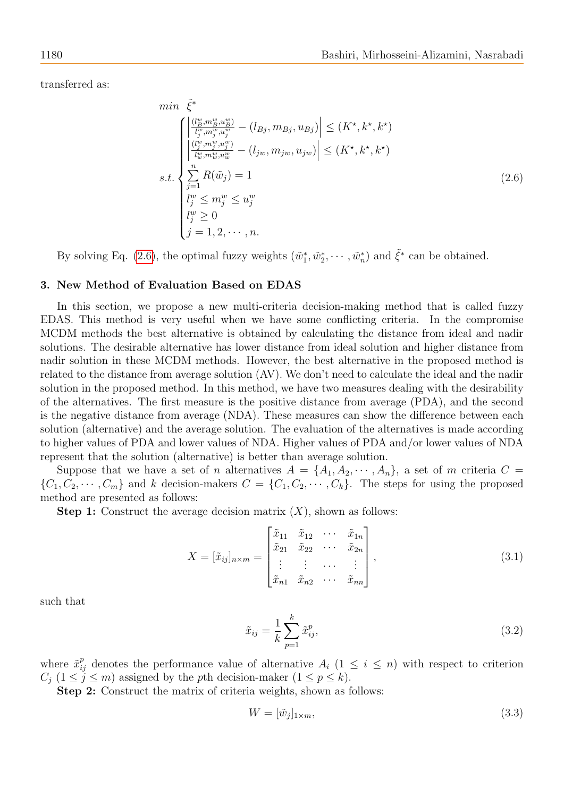transferred as:

<span id="page-5-0"></span>
$$
\min \tilde{\xi}^* \left\{ \begin{aligned} &\left| \frac{(\frac{1}{B}, m_B^w, u_B^w)}{I_y^w, m_y^w, u_y^w} - (l_{Bj}, m_{Bj}, u_{Bj}) \right| \le (K^*, k^*, k^*) \\ &\left| \frac{(\frac{1}{B}, m_j^w, u_j^w)}{I_w^w, m_w^w, u_w^w} - (l_{jw}, m_{jw}, u_{jw}) \right| \le (K^*, k^*, k^*) \\ &\sum_{j=1}^n R(\tilde{w}_j) = 1 \\ &\left| \begin{aligned} &\frac{1}{B} &\frac{1}{B} \\ &\frac{1}{B} &\frac{1}{B} \le u_j^w \\ &\frac{1}{B} &\frac{1}{B} &\frac{1}{B} \le u_j^w \\ &\frac{1}{B} &\frac{1}{B} &\frac{1}{B} &\frac{1}{B} \le u_j^w \\ &\frac{1}{B} &\frac{1}{B} &\frac{1}{B} &\frac{1}{B} &\frac{1}{B} \end{aligned} \right. \tag{2.6}
$$

By solving Eq. [\(2.6\)](#page-5-0), the optimal fuzzy weights  $(\tilde{w}_1^*, \tilde{w}_2^*, \cdots, \tilde{w}_n^*)$  and  $\tilde{\xi}^*$  can be obtained.

# 3. New Method of Evaluation Based on EDAS

In this section, we propose a new multi-criteria decision-making method that is called fuzzy EDAS. This method is very useful when we have some conflicting criteria. In the compromise MCDM methods the best alternative is obtained by calculating the distance from ideal and nadir solutions. The desirable alternative has lower distance from ideal solution and higher distance from nadir solution in these MCDM methods. However, the best alternative in the proposed method is related to the distance from average solution (AV). We don't need to calculate the ideal and the nadir solution in the proposed method. In this method, we have two measures dealing with the desirability of the alternatives. The first measure is the positive distance from average (PDA), and the second is the negative distance from average (NDA). These measures can show the difference between each solution (alternative) and the average solution. The evaluation of the alternatives is made according to higher values of PDA and lower values of NDA. Higher values of PDA and/or lower values of NDA represent that the solution (alternative) is better than average solution.

Suppose that we have a set of n alternatives  $A = \{A_1, A_2, \dots, A_n\}$ , a set of m criteria  $C =$  $\{C_1, C_2, \cdots, C_m\}$  and k decision-makers  $C = \{C_1, C_2, \cdots, C_k\}$ . The steps for using the proposed method are presented as follows:

**Step 1:** Construct the average decision matrix  $(X)$ , shown as follows:

$$
X = [\tilde{x}_{ij}]_{n \times m} = \begin{bmatrix} \tilde{x}_{11} & \tilde{x}_{12} & \cdots & \tilde{x}_{1n} \\ \tilde{x}_{21} & \tilde{x}_{22} & \cdots & \tilde{x}_{2n} \\ \vdots & \vdots & \cdots & \vdots \\ \tilde{x}_{n1} & \tilde{x}_{n2} & \cdots & \tilde{x}_{nn} \end{bmatrix},
$$
(3.1)

such that

$$
\tilde{x}_{ij} = \frac{1}{k} \sum_{p=1}^{k} \tilde{x}_{ij}^p,
$$
\n(3.2)

where  $\tilde{x}_{ij}^p$  denotes the performance value of alternative  $A_i$  ( $1 \leq i \leq n$ ) with respect to criterion  $C_j$  ( $1 \leq j \leq m$ ) assigned by the pth decision-maker ( $1 \leq p \leq k$ ).

Step 2: Construct the matrix of criteria weights, shown as follows:

$$
W = [\tilde{w}_j]_{1 \times m},\tag{3.3}
$$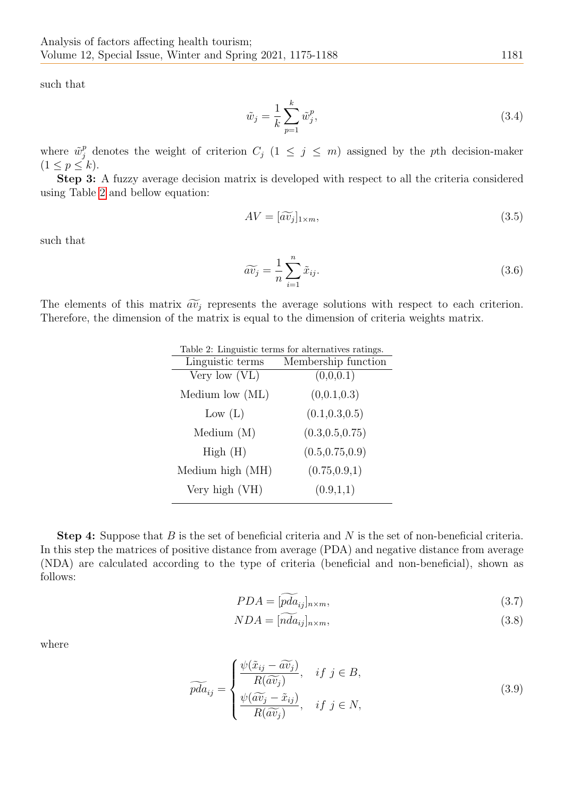such that

$$
\tilde{w}_j = \frac{1}{k} \sum_{p=1}^k \tilde{w}_j^p,\tag{3.4}
$$

where  $\tilde{w}_j^p$  denotes the weight of criterion  $C_j$   $(1 \leq j \leq m)$  assigned by the pth decision-maker  $(1 \leq p \leq k).$ 

Step 3: A fuzzy average decision matrix is developed with respect to all the criteria considered using Table [2](#page-6-0) and bellow equation:

$$
AV = [\widetilde{av}_j]_{1 \times m},\tag{3.5}
$$

such that

$$
\widetilde{av_j} = \frac{1}{n} \sum_{i=1}^{n} \widetilde{x}_{ij}.
$$
\n(3.6)

<span id="page-6-0"></span>The elements of this matrix  $\widetilde{av}_j$  represents the average solutions with respect to each criterion. Therefore, the dimension of the matrix is equal to the dimension of criteria weights matrix.

| Table 2: Linguistic terms for alternatives ratings. |  |  |  |  |  |  |
|-----------------------------------------------------|--|--|--|--|--|--|
| Membership function                                 |  |  |  |  |  |  |
| (0,0,0.1)                                           |  |  |  |  |  |  |
| (0,0.1,0.3)                                         |  |  |  |  |  |  |
| (0.1, 0.3, 0.5)                                     |  |  |  |  |  |  |
| (0.3, 0.5, 0.75)                                    |  |  |  |  |  |  |
| (0.5, 0.75, 0.9)                                    |  |  |  |  |  |  |
| (0.75, 0.9, 1)                                      |  |  |  |  |  |  |
| (0.9,1,1)                                           |  |  |  |  |  |  |
|                                                     |  |  |  |  |  |  |

Step 4: Suppose that B is the set of beneficial criteria and N is the set of non-beneficial criteria. In this step the matrices of positive distance from average (PDA) and negative distance from average (NDA) are calculated according to the type of criteria (beneficial and non-beneficial), shown as follows:

$$
PDA = [\widetilde{pda}_{ij}]_{n \times m},\tag{3.7}
$$

$$
NDA = [nda_{ij}]_{n \times m},\tag{3.8}
$$

where

$$
\widetilde{pda}_{ij} = \begin{cases} \frac{\psi(\widetilde{x}_{ij} - \widetilde{av}_j)}{R(\widetilde{av}_j)}, & if j \in B, \\ \frac{\psi(\widetilde{av}_j - \widetilde{x}_{ij})}{R(\widetilde{av}_j)}, & if j \in N, \end{cases}
$$
\n(3.9)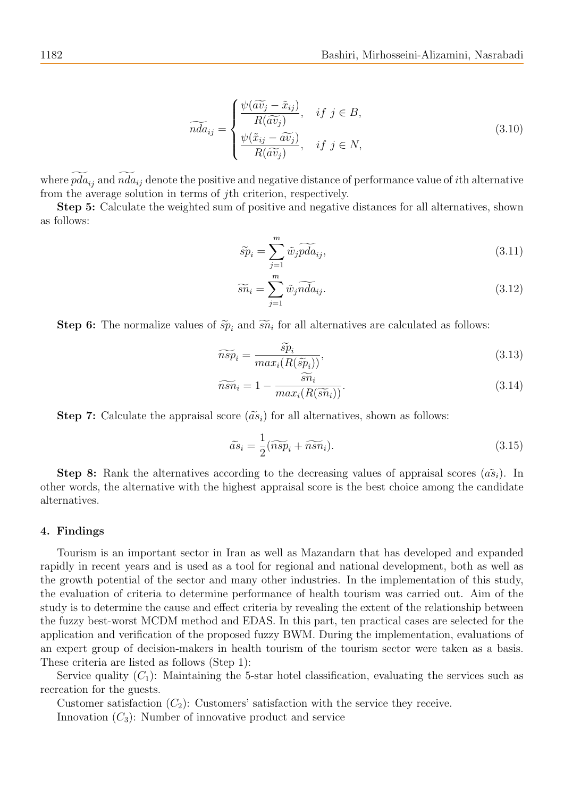$$
\widetilde{nda}_{ij} = \begin{cases} \frac{\psi(\widetilde{av}_j - \tilde{x}_{ij})}{R(\widetilde{av}_j)}, & if j \in B, \\ \frac{\psi(\tilde{x}_{ij} - \widetilde{av}_j)}{R(\widetilde{av}_j)}, & if j \in N, \end{cases}
$$
\n(3.10)

where  $pda_{ij}$  and  $nda_{ij}$  denote the positive and negative distance of performance value of *i*th alternative from the average solution in terms of jth criterion, respectively.

Step 5: Calculate the weighted sum of positive and negative distances for all alternatives, shown as follows:

$$
\widetilde{sp}_i = \sum_{j=1}^m \widetilde{w}_j \widetilde{pda}_{ij},\tag{3.11}
$$

$$
\widetilde{sn}_i = \sum_{j=1}^m \widetilde{w}_j \widetilde{nda}_{ij}.
$$
\n(3.12)

**Step 6:** The normalize values of  $\widetilde{sp}_i$  and  $\widetilde{sn}_i$  for all alternatives are calculated as follows:

$$
\widetilde{nsp}_i = \frac{\widetilde{sp}_i}{\max_i(R(\widetilde{sp}_i))},\tag{3.13}
$$

$$
\widetilde{nsn}_i = 1 - \frac{\widetilde{sn}_i}{max_i(R(\widetilde{sn}_i))}.
$$
\n(3.14)

**Step 7:** Calculate the appraisal score  $(\tilde{a}s_i)$  for all alternatives, shown as follows:

<span id="page-7-0"></span>
$$
\widetilde{as}_i = \frac{1}{2}(\widetilde{nsp}_i + \widetilde{nsn}_i). \tag{3.15}
$$

**Step 8:** Rank the alternatives according to the decreasing values of appraisal scores  $(\tilde{as}_i)$ . In other words, the alternative with the highest appraisal score is the best choice among the candidate alternatives.

#### 4. Findings

Tourism is an important sector in Iran as well as Mazandarn that has developed and expanded rapidly in recent years and is used as a tool for regional and national development, both as well as the growth potential of the sector and many other industries. In the implementation of this study, the evaluation of criteria to determine performance of health tourism was carried out. Aim of the study is to determine the cause and effect criteria by revealing the extent of the relationship between the fuzzy best-worst MCDM method and EDAS. In this part, ten practical cases are selected for the application and verification of the proposed fuzzy BWM. During the implementation, evaluations of an expert group of decision-makers in health tourism of the tourism sector were taken as a basis. These criteria are listed as follows (Step 1):

Service quality  $(C_1)$ : Maintaining the 5-star hotel classification, evaluating the services such as recreation for the guests.

Customer satisfaction  $(C_2)$ : Customers' satisfaction with the service they receive.

Innovation  $(C_3)$ : Number of innovative product and service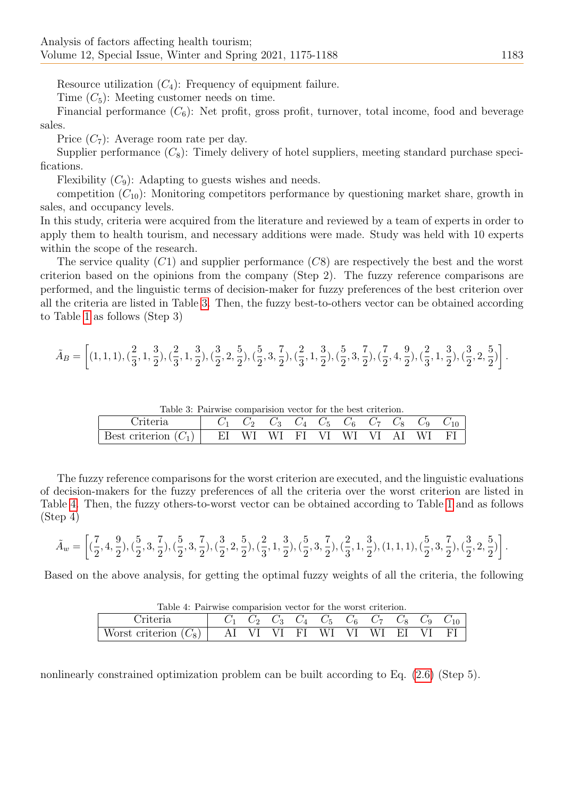Resource utilization  $(C_4)$ : Frequency of equipment failure.

Time  $(C_5)$ : Meeting customer needs on time.

Financial performance  $(C_6)$ : Net profit, gross profit, turnover, total income, food and beverage sales.

Price  $(C_7)$ : Average room rate per day.

Supplier performance  $(C_8)$ : Timely delivery of hotel suppliers, meeting standard purchase specifications.

Flexibility  $(C_9)$ : Adapting to guests wishes and needs.

competition  $(C_{10})$ : Monitoring competitors performance by questioning market share, growth in sales, and occupancy levels.

In this study, criteria were acquired from the literature and reviewed by a team of experts in order to apply them to health tourism, and necessary additions were made. Study was held with 10 experts within the scope of the research.

The service quality  $(C1)$  and supplier performance  $(C8)$  are respectively the best and the worst criterion based on the opinions from the company (Step 2). The fuzzy reference comparisons are performed, and the linguistic terms of decision-maker for fuzzy preferences of the best criterion over all the criteria are listed in Table [3.](#page-8-0) Then, the fuzzy best-to-others vector can be obtained according to Table [1](#page-3-0) as follows (Step 3)

<span id="page-8-0"></span>
$$
\tilde{A}_B=\left[(1,1,1),(\frac{2}{3},1,\frac{3}{2}),(\frac{2}{3},1,\frac{3}{2}),(\frac{3}{2},2,\frac{5}{2}),(\frac{5}{2},3,\frac{7}{2}),(\frac{2}{3},1,\frac{3}{2}),(\frac{5}{2},3,\frac{7}{2}),(\frac{7}{2},4,\frac{9}{2}),(\frac{2}{3},1,\frac{3}{2}),(\frac{3}{2},2,\frac{5}{2})\right].
$$

Table 3: Pairwise comparision vector for the best criterion.

| <sup>7</sup> riteria |    |     | $\mathcal{C}_3$                                                                                                                           | $C_4$ $C_5$ ' | $C_6$ $C_7$ $C_8$ |    | $\overline{CQ}$ | U10 |
|----------------------|----|-----|-------------------------------------------------------------------------------------------------------------------------------------------|---------------|-------------------|----|-----------------|-----|
| Best criterion       | EI | W L | $\overline{\text{WI}}$ $\overline{\text{FI}}$ $\overline{\text{VI}}$ $\overline{\text{WI}}$ $\overline{\text{VI}}$ $\overline{\text{VI}}$ |               |                   | AΙ | WI              |     |

The fuzzy reference comparisons for the worst criterion are executed, and the linguistic evaluations of decision-makers for the fuzzy preferences of all the criteria over the worst criterion are listed in Table [4.](#page-8-1) Then, the fuzzy others-to-worst vector can be obtained according to Table [1](#page-3-0) and as follows (Step 4)

$$
\tilde{A}_w = \left[ (\frac{7}{2}, 4, \frac{9}{2}), (\frac{5}{2}, 3, \frac{7}{2}), (\frac{5}{2}, 3, \frac{7}{2}), (\frac{3}{2}, 2, \frac{5}{2}), (\frac{2}{3}, 1, \frac{3}{2}), (\frac{5}{2}, 3, \frac{7}{2}), (\frac{2}{3}, 1, \frac{3}{2}), (1, 1, 1), (\frac{5}{2}, 3, \frac{7}{2}), (\frac{3}{2}, 2, \frac{5}{2}) \right].
$$

<span id="page-8-1"></span>Based on the above analysis, for getting the optimal fuzzy weights of all the criteria, the following

| Table 4: Pairwise comparision vector for the worst criterion.                                               |  |  |  |  |  |  |  |  |  |
|-------------------------------------------------------------------------------------------------------------|--|--|--|--|--|--|--|--|--|
| Criteria $C_1 \quad C_2 \quad C_3 \quad C_4 \quad C_5 \quad C_6 \quad C_7 \quad C_8 \quad C_9 \quad C_{10}$ |  |  |  |  |  |  |  |  |  |
| Worst criterion $(C_8)$   AI VI VI FI WI VI WI EI VI FI                                                     |  |  |  |  |  |  |  |  |  |

Table 4: Pairwise comparision vector for the worst criterion.

nonlinearly constrained optimization problem can be built according to Eq. [\(2.6\)](#page-5-0) (Step 5).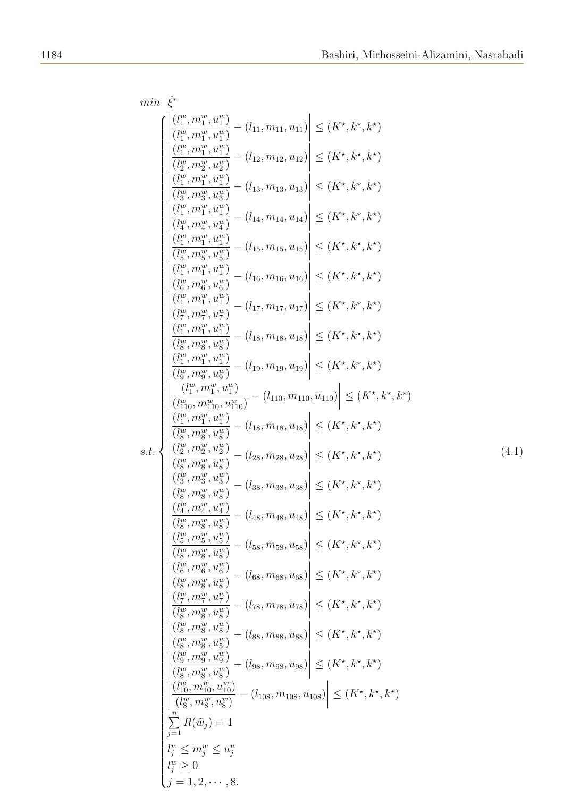<span id="page-9-0"></span>
$$
\min \tilde{\xi}^{\alpha} \left\{ \begin{array}{l} \left| \frac{\left( l_{1}^{\alpha},m_{1}^{\alpha},u_{1}^{\omega} \right)}{\left( l_{1}^{\alpha},m_{1}^{\alpha},u_{1}^{\omega} \right)} - \left( l_{11},m_{11},u_{11} \right) \right| \leq \left( K^{*},k^{*},k^{*} \right) \\ \left| \frac{\left( l_{1}^{\alpha},m_{1}^{\alpha},u_{1}^{\omega} \right)}{\left( l_{2}^{\alpha},m_{2}^{\alpha},u_{2}^{\omega} \right)} - \left( l_{12},m_{12},u_{12} \right) \right| \leq \left( K^{*},k^{*},k^{*} \right) \\ \left| \frac{\left( l_{1}^{\alpha},m_{1}^{\alpha},u_{1}^{\omega} \right)}{\left( l_{2}^{\alpha},m_{2}^{\alpha},u_{2}^{\omega} \right)} - \left( l_{13},m_{13},u_{13} \right) \right| \leq \left( K^{*},k^{*},k^{*} \right) \\ \left| \frac{\left( l_{1}^{\alpha},m_{1}^{\alpha},u_{1}^{\omega} \right)}{\left( l_{1}^{\alpha},m_{1}^{\alpha},u_{1}^{\omega} \right)} - \left( l_{14},m_{14},u_{14} \right) \right| \leq \left( K^{*},k^{*},k^{*} \right) \\ \left| \frac{\left( l_{1}^{\alpha},m_{1}^{\alpha},u_{1}^{\omega} \right)}{\left( l_{1}^{\alpha},m_{1}^{\alpha},u_{1}^{\omega} \right)} - \left( l_{15},m_{15},u_{15} \right) \right| \leq \left( K^{*},k^{*},k^{*} \right) \\ \left| \frac{\left( l_{1}^{\alpha},m_{1}^{\alpha},u_{1}^{\omega} \right)}{\left( l_{1}^{\alpha},m_{1}^{\alpha},u_{1}^{\omega} \right)} - \left( l_{11},m_{12},u_{17} \right) \right| \leq \left( K^{*},k^{*},k^{*} \right) \\ \left| \frac{\left( l_{1}^{\alpha},m_{1}^{\alpha},u_{1}^{\omega} \right)}{\left( l_{1}^{\alpha},m_{1}^{\alpha},u_{2}^{\omega} \right)}
$$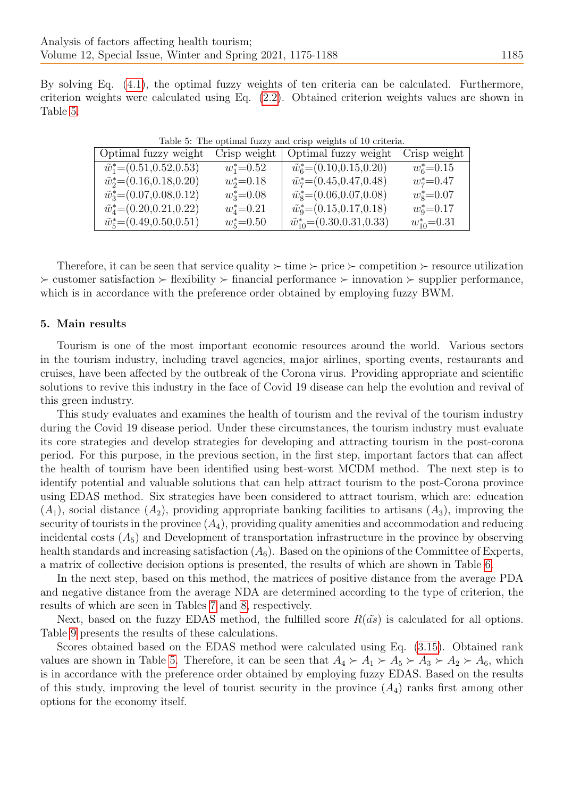<span id="page-10-0"></span>By solving Eq. [\(4.1\)](#page-9-0), the optimal fuzzy weights of ten criteria can be calculated. Furthermore, criterion weights were calculated using Eq. [\(2.2\)](#page-3-1). Obtained criterion weights values are shown in Table [5.](#page-10-0)

| Optimal fuzzy weight                 | Crisp weight   | Optimal fuzzy weight                    | Crisp weight     |
|--------------------------------------|----------------|-----------------------------------------|------------------|
| $\tilde{w}_1^*$ = (0.51,0.52,0.53)   | $w_1^*$ =0.52  | $\tilde{w}_6^*$ = (0.10,0.15,0.20)      | $w_6^*$ =0.15    |
| $\tilde{w}_2^*$ = (0.16,0.18,0.20)   | $w_2^*$ =0.18  | $\tilde{w}_7^*$ = (0.45, 0.47, 0.48)    | $w_7^*$ =0.47    |
| $\tilde{w}_3^*$ = (0.07,0.08,0.12)   | $w_3^* = 0.08$ | $\tilde{w}_8^*$ = (0.06,0.07,0.08)      | $w_8^*$ =0.07    |
| $\tilde{w}_4^*$ = (0.20, 0.21, 0.22) | $w_4^* = 0.21$ | $\tilde{w}_9^*$ = (0.15,0.17,0.18)      | $w_9^* = 0.17$   |
| $\tilde{w}_5^*$ = (0.49,0.50,0.51)   | $w_5^*$ =0.50  | $\tilde{w}_{10}^*$ = (0.30, 0.31, 0.33) | $w_{10}^*$ =0.31 |

Table 5: The optimal fuzzy and crisp weights of 10 criteria.

Therefore, it can be seen that service quality  $\succ$  time  $\succ$  price  $\succ$  competition  $\succ$  resource utilization  $\triangleright$  customer satisfaction  $\triangleright$  flexibility  $\triangleright$  financial performance  $\triangleright$  innovation  $\triangleright$  supplier performance, which is in accordance with the preference order obtained by employing fuzzy BWM.

#### 5. Main results

Tourism is one of the most important economic resources around the world. Various sectors in the tourism industry, including travel agencies, major airlines, sporting events, restaurants and cruises, have been affected by the outbreak of the Corona virus. Providing appropriate and scientific solutions to revive this industry in the face of Covid 19 disease can help the evolution and revival of this green industry.

This study evaluates and examines the health of tourism and the revival of the tourism industry during the Covid 19 disease period. Under these circumstances, the tourism industry must evaluate its core strategies and develop strategies for developing and attracting tourism in the post-corona period. For this purpose, in the previous section, in the first step, important factors that can affect the health of tourism have been identified using best-worst MCDM method. The next step is to identify potential and valuable solutions that can help attract tourism to the post-Corona province using EDAS method. Six strategies have been considered to attract tourism, which are: education  $(A_1)$ , social distance  $(A_2)$ , providing appropriate banking facilities to artisans  $(A_3)$ , improving the security of tourists in the province  $(A_4)$ , providing quality amenities and accommodation and reducing incidental costs  $(A_5)$  and Development of transportation infrastructure in the province by observing health standards and increasing satisfaction  $(A_6)$ . Based on the opinions of the Committee of Experts, a matrix of collective decision options is presented, the results of which are shown in Table [6.](#page-11-0)

In the next step, based on this method, the matrices of positive distance from the average PDA and negative distance from the average NDA are determined according to the type of criterion, the results of which are seen in Tables [7](#page-11-1) and [8,](#page-12-2) respectively.

Next, based on the fuzzy EDAS method, the fulfilled score  $R(\tilde{as})$  is calculated for all options. Table [9](#page-12-3) presents the results of these calculations.

Scores obtained based on the EDAS method were calculated using Eq. [\(3.15\)](#page-7-0). Obtained rank values are shown in Table [5.](#page-10-0) Therefore, it can be seen that  $A_4 \succ A_1 \succ A_5 \succ A_3 \succ A_2 \succ A_6$ , which is in accordance with the preference order obtained by employing fuzzy EDAS. Based on the results of this study, improving the level of tourist security in the province  $(A_4)$  ranks first among other options for the economy itself.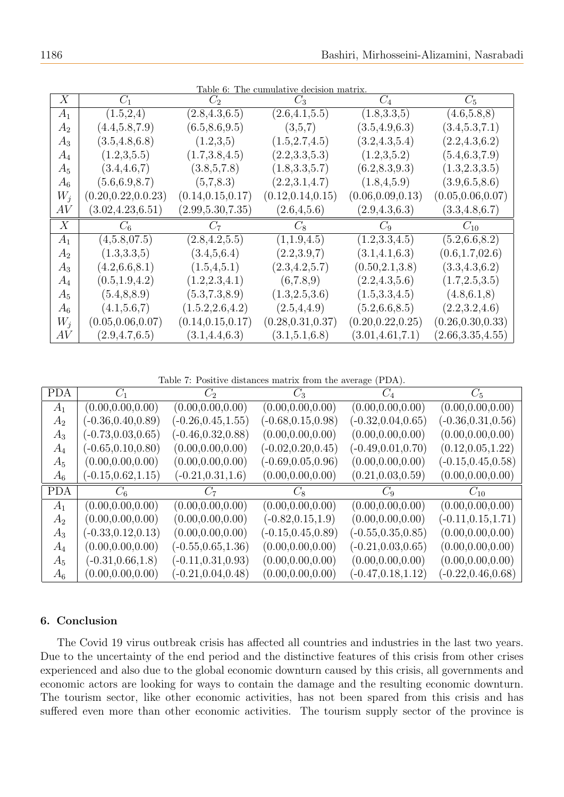<span id="page-11-0"></span>

|                |                      |                    | rable o: The cumulative decision matrix |                    |                    |
|----------------|----------------------|--------------------|-----------------------------------------|--------------------|--------------------|
| X              | $C_1$                | $C_2$              | $C_3$                                   | $C_4$              | $C_5$              |
| $A_1$          | (1.5, 2.4)           | (2.8, 4.3, 6.5)    | (2.6, 4.1, 5.5)                         | (1.8, 3.3, 5)      | (4.6,5.8,8)        |
| $A_2$          | (4.4, 5.8, 7.9)      | (6.5, 8.6, 9.5)    | (3,5,7)                                 | (3.5, 4.9, 6.3)    | (3.4, 5.3, 7.1)    |
| $A_3$          | (3.5, 4.8, 6.8)      | (1.2,3.5)          | (1.5, 2.7, 4.5)                         | (3.2, 4.3, 5.4)    | (2.2, 4.3, 6.2)    |
| $A_4$          | (1.2,3,5.5)          | (1.7, 3.8, 4.5)    | (2.2,3.3,5.3)                           | (1.2,3,5.2)        | (5.4, 6.3, 7.9)    |
| $A_5$          | (3.4, 4.6, 7)        | (3.8,5,7.8)        | (1.8, 3.3, 5.7)                         | (6.2, 8.3, 9.3)    | (1.3, 2.3, 3.5)    |
| $A_6$          | (5.6, 6.9, 8.7)      | (5,7,8.3)          | (2.2,3.1,4.7)                           | (1.8, 4, 5.9)      | (3.9,6.5,8.6)      |
| $W_i$          | (0.20, 0.22, 0.0.23) | (0.14, 0.15, 0.17) | (0.12, 0.14, 0.15)                      | (0.06, 0.09, 0.13) | (0.05, 0.06, 0.07) |
| AV             | (3.02, 4.23, 6.51)   | (2.99, 5.30, 7.35) | (2.6, 4.5.6)                            | (2.9, 4.3, 6.3)    | (3.3, 4.8, 6.7)    |
| X              | $C_6$                | $C_7$              | $C_8$                                   | $C_9$              | $C_{10}$           |
| $A_1$          | (4,5.8,07.5)         | (2.8, 4.2, 5.5)    | (1,1.9,4.5)                             | (1.2, 3.3, 4.5)    | (5.2, 6.6, 8.2)    |
| A <sub>2</sub> | (1.3, 3.3, 5)        | (3.4, 5, 6.4)      | (2.2,3.9,7)                             | (3.1, 4.1, 6.3)    | (0.6, 1.7, 02.6)   |
| $A_3$          | (4.2, 6.6, 8.1)      | (1.5, 4, 5.1)      | (2.3, 4.2, 5.7)                         | (0.50, 2.1, 3.8)   | (3.3, 4.3, 6.2)    |
| $A_4$          | (0.5, 1.9, 4.2)      | (1.2, 2.3, 4.1)    | (6,7.8,9)                               | (2.2, 4.3, 5.6)    | (1.7, 2.5, 3.5)    |
| $A_5$          | (5.4, 8.8.9)         |                    |                                         |                    |                    |
|                |                      | (5.3, 7.3, 8.9)    | (1.3, 2.5, 3.6)                         | (1.5, 3.3, 4.5)    | (4.8, 6.1, 8)      |
| $A_6$          | (4.1, 5.6, 7)        | (1.5.2, 2.6, 4.2)  | (2.5, 4.4.9)                            | (5.2, 6.6, 8.5)    | (2.2,3.2,4.6)      |
| $W_i$          | (0.05, 0.06, 0.07)   | (0.14, 0.15, 0.17) | (0.28, 0.31, 0.37)                      | (0.20, 0.22, 0.25) | (0.26, 0.30, 0.33) |

Table 6: The cumulative decision matrix.

Table 7: Positive distances matrix from the average (PDA).

<span id="page-11-1"></span>

| <b>PDA</b> | $C_1$                 | $C_2$                 | $C_3$                 | $C_4$                   | $C_5$                 |
|------------|-----------------------|-----------------------|-----------------------|-------------------------|-----------------------|
| $A_1$      | (0.00, 0.00, 0.00)    | (0.00, 0.00, 0.00)    | (0.00, 0.00, 0.00)    | (0.00, 0.00, 0.00)      | (0.00, 0.00, 0.00)    |
| $A_2$      | $(-0.36, 0.40, 0.89)$ | $(-0.26, 0.45, 1.55)$ | $(-0.68, 0.15, 0.98)$ | $(-0.32, 0.04, 0.65)$   | $(-0.36, 0.31, 0.56)$ |
| $A_3$      | $(-0.73, 0.03, 0.65)$ | $(-0.46, 0.32, 0.88)$ | (0.00, 0.00, 0.00)    | (0.00, 0.00, 0.00)      | (0.00, 0.00, 0.00)    |
| $A_4$      | $(-0.65, 0.10, 0.80)$ | (0.00, 0.00, 0.00)    | $(-0.02, 0.20, 0.45)$ | $(-0.49, 0.01, 0.70)$   | (0.12, 0.05, 1.22)    |
| $A_5$      | (0.00, 0.00, 0.00)    | (0.00, 0.00, 0.00)    | $(-0.69, 0.05, 0.96)$ | (0.00, 0.00, 0.00)      | $(-0.15, 0.45, 0.58)$ |
| $A_6$      | $(-0.15, 0.62, 1.15)$ | $(-0.21, 0.31, 1.6)$  | (0.00, 0.00, 0.00)    | $(0.21,\!0.03,\!0.59)$  | (0.00, 0.00, 0.00)    |
|            |                       |                       |                       |                         |                       |
| <b>PDA</b> | $C_{6}$               | $C_7$                 | $C_8$                 | $C_9$                   | $C_{10}$              |
| $A_1$      | (0.00, 0.00, 0.00)    | (0.00, 0.00, 0.00)    | (0.00, 0.00, 0.00)    | (0.00, 0.00, 0.00)      | (0.00, 0.00, 0.00)    |
| $A_2$      | (0.00, 0.00, 0.00)    | (0.00, 0.00, 0.00)    | $(-0.82, 0.15, 1.9)$  | (0.00, 0.00, 0.00)      | $(-0.11, 0.15, 1.71)$ |
| $A_3$      | $(-0.33, 0.12, 0.13)$ | (0.00, 0.00, 0.00)    | $(-0.15, 0.45, 0.89)$ | $(-0.55, 0.35, 0.85)$   | (0.00, 0.00, 0.00)    |
| $A_4$      | (0.00, 0.00, 0.00)    | $(-0.55, 0.65, 1.36)$ | (0.00, 0.00, 0.00)    | $(-0.21,\!0.03,\!0.65)$ | (0.00, 0.00, 0.00)    |
| $A_5$      | $(-0.31, 0.66, 1.8)$  | $(-0.11, 0.31, 0.93)$ | (0.00, 0.00, 0.00)    | (0.00, 0.00, 0.00)      | (0.00, 0.00, 0.00)    |

# 6. Conclusion

The Covid 19 virus outbreak crisis has affected all countries and industries in the last two years. Due to the uncertainty of the end period and the distinctive features of this crisis from other crises experienced and also due to the global economic downturn caused by this crisis, all governments and economic actors are looking for ways to contain the damage and the resulting economic downturn. The tourism sector, like other economic activities, has not been spared from this crisis and has suffered even more than other economic activities. The tourism supply sector of the province is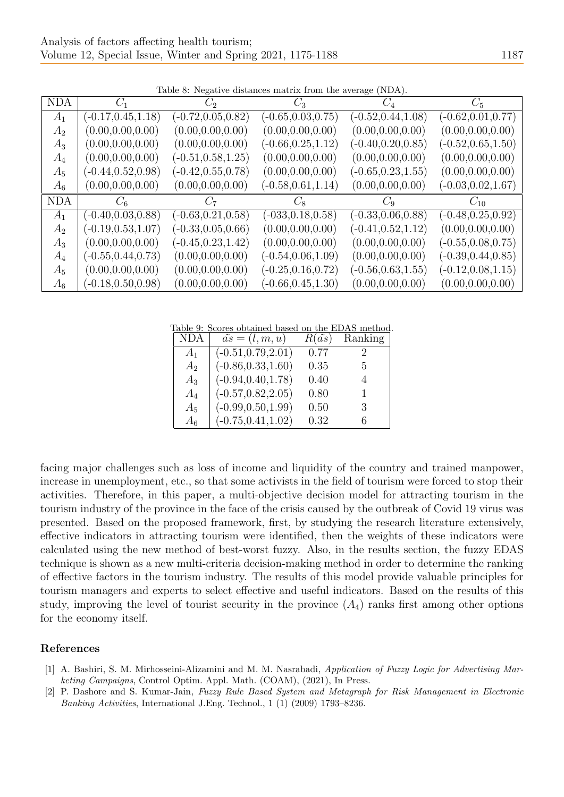<span id="page-12-2"></span>

| <b>NDA</b> | $C_1$                 | $C_2$                 | $C_3$                 | $C_4$                 | $C_5$                 |
|------------|-----------------------|-----------------------|-----------------------|-----------------------|-----------------------|
| $A_1$      | $(-0.17, 0.45, 1.18)$ | $(-0.72, 0.05, 0.82)$ | $(-0.65, 0.03, 0.75)$ | $(-0.52, 0.44, 1.08)$ | $(-0.62, 0.01, 0.77)$ |
| $A_2$      | (0.00, 0.00, 0.00)    | (0.00, 0.00, 0.00)    | (0.00, 0.00, 0.00)    | (0.00, 0.00, 0.00)    | (0.00, 0.00, 0.00)    |
| $A_3$      | (0.00, 0.00, 0.00)    | (0.00, 0.00, 0.00)    | $(-0.66, 0.25, 1.12)$ | $(-0.40, 0.20, 0.85)$ | $(-0.52, 0.65, 1.50)$ |
| $A_4$      | (0.00, 0.00, 0.00)    | $(-0.51, 0.58, 1.25)$ | (0.00, 0.00, 0.00)    | (0.00, 0.00, 0.00)    | (0.00, 0.00, 0.00)    |
| $A_5$      | $(-0.44, 0.52, 0.98)$ | $(-0.42, 0.55, 0.78)$ | (0.00, 0.00, 0.00)    | $(-0.65, 0.23, 1.55)$ | (0.00, 0.00, 0.00)    |
| $A_6$      | (0.00, 0.00, 0.00)    | (0.00, 0.00, 0.00)    | $(-0.58, 0.61, 1.14)$ | (0.00, 0.00, 0.00)    | $(-0.03, 0.02, 1.67)$ |
| <b>NDA</b> | $C_6$                 | $C_7$                 | $C_8$                 | $C_9$                 | $C_{10}$              |
| $A_1$      | $(-0.40, 0.03, 0.88)$ | $(-0.63, 0.21, 0.58)$ | $(-033, 0.18, 0.58)$  | $(-0.33, 0.06, 0.88)$ | $(-0.48, 0.25, 0.92)$ |
| $A_2$      | $(-0.19, 0.53, 1.07)$ | $(-0.33, 0.05, 0.66)$ | (0.00, 0.00, 0.00)    | $(-0.41, 0.52, 1.12)$ | (0.00, 0.00, 0.00)    |
| $A_3$      | (0.00, 0.00, 0.00)    | $(-0.45, 0.23, 1.42)$ | (0.00, 0.00, 0.00)    | (0.00, 0.00, 0.00)    | $(-0.55, 0.08, 0.75)$ |
| $A_4$      | $(-0.55, 0.44, 0.73)$ | (0.00, 0.00, 0.00)    | $(-0.54, 0.06, 1.09)$ | (0.00, 0.00, 0.00)    | $(-0.39, 0.44, 0.85)$ |
| $A_5$      | (0.00, 0.00, 0.00)    | (0.00, 0.00, 0.00)    | $(-0.25, 0.16, 0.72)$ | $(-0.56, 0.63, 1.55)$ | $(-0.12, 0.08, 1.15)$ |
| $A_6$      | $(-0.18, 0.50, 0.98)$ | (0.00, 0.00, 0.00)    | $(-0.66, 0.45, 1.30)$ | (0.00, 0.00, 0.00)    | (0.00, 0.00, 0.00)    |

Table 8: Negative distances matrix from the average (NDA).

<span id="page-12-3"></span>Table 9: Scores obtained based on the EDAS method.

| NDA            | $\tilde{as} = (l, m, u)$ | $R(\tilde{as})$ | Ranking |
|----------------|--------------------------|-----------------|---------|
| A <sub>1</sub> | $(-0.51, 0.79, 2.01)$    | 0.77            | $\cdot$ |
| A <sub>2</sub> | $(-0.86, 0.33, 1.60)$    | 0.35            | 5       |
| $A_3$          | $(-0.94, 0.40, 1.78)$    | 0.40            | 4       |
| $A_4$          | $(-0.57, 0.82, 2.05)$    | 0.80            | 1       |
| $A_5$          | $(-0.99, 0.50, 1.99)$    | 0.50            | 3       |
| $A_6$          | $(-0.75, 0.41, 1.02)$    | 0.32            | 6       |

facing major challenges such as loss of income and liquidity of the country and trained manpower, increase in unemployment, etc., so that some activists in the field of tourism were forced to stop their activities. Therefore, in this paper, a multi-objective decision model for attracting tourism in the tourism industry of the province in the face of the crisis caused by the outbreak of Covid 19 virus was presented. Based on the proposed framework, first, by studying the research literature extensively, effective indicators in attracting tourism were identified, then the weights of these indicators were calculated using the new method of best-worst fuzzy. Also, in the results section, the fuzzy EDAS technique is shown as a new multi-criteria decision-making method in order to determine the ranking of effective factors in the tourism industry. The results of this model provide valuable principles for tourism managers and experts to select effective and useful indicators. Based on the results of this study, improving the level of tourist security in the province  $(A_4)$  ranks first among other options for the economy itself.

# References

- <span id="page-12-0"></span>[1] A. Bashiri, S. M. Mirhosseini-Alizamini and M. M. Nasrabadi, Application of Fuzzy Logic for Advertising Marketing Campaigns, Control Optim. Appl. Math. (COAM), (2021), In Press.
- <span id="page-12-1"></span>[2] P. Dashore and S. Kumar-Jain, Fuzzy Rule Based System and Metagraph for Risk Management in Electronic Banking Activities, International J.Eng. Technol., 1 (1) (2009) 1793–8236.